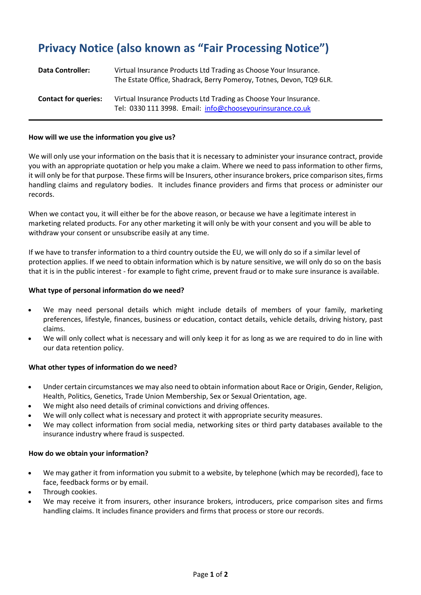# **Privacy Notice (also known as "Fair Processing Notice")**

| <b>Data Controller:</b>     | Virtual Insurance Products Ltd Trading as Choose Your Insurance.<br>The Estate Office, Shadrack, Berry Pomeroy, Totnes, Devon, TQ9 6LR. |
|-----------------------------|-----------------------------------------------------------------------------------------------------------------------------------------|
| <b>Contact for queries:</b> | Virtual Insurance Products Ltd Trading as Choose Your Insurance.<br>Tel: 0330 111 3998. Email: info@chooseyourinsurance.co.uk           |

#### **How will we use the information you give us?**

We will only use your information on the basis that it is necessary to administer your insurance contract, provide you with an appropriate quotation or help you make a claim. Where we need to pass information to other firms, it will only be for that purpose. These firms will be Insurers, other insurance brokers, price comparison sites, firms handling claims and regulatory bodies. It includes finance providers and firms that process or administer our records.

When we contact you, it will either be for the above reason, or because we have a legitimate interest in marketing related products. For any other marketing it will only be with your consent and you will be able to withdraw your consent or unsubscribe easily at any time.

If we have to transfer information to a third country outside the EU, we will only do so if a similar level of protection applies. If we need to obtain information which is by nature sensitive, we will only do so on the basis that it is in the public interest - for example to fight crime, prevent fraud or to make sure insurance is available.

#### **What type of personal information do we need?**

- We may need personal details which might include details of members of your family, marketing preferences, lifestyle, finances, business or education, contact details, vehicle details, driving history, past claims.
- We will only collect what is necessary and will only keep it for as long as we are required to do in line with our data retention policy.

## **What other types of information do we need?**

- Under certain circumstances we may also need to obtain information about Race or Origin, Gender, Religion, Health, Politics, Genetics, Trade Union Membership, Sex or Sexual Orientation, age.
- We might also need details of criminal convictions and driving offences.
- We will only collect what is necessary and protect it with appropriate security measures.
- We may collect information from social media, networking sites or third party databases available to the insurance industry where fraud is suspected.

## **How do we obtain your information?**

- We may gather it from information you submit to a website, by telephone (which may be recorded), face to face, feedback forms or by email.
- Through cookies.
- We may receive it from insurers, other insurance brokers, introducers, price comparison sites and firms handling claims. It includes finance providers and firms that process or store our records.